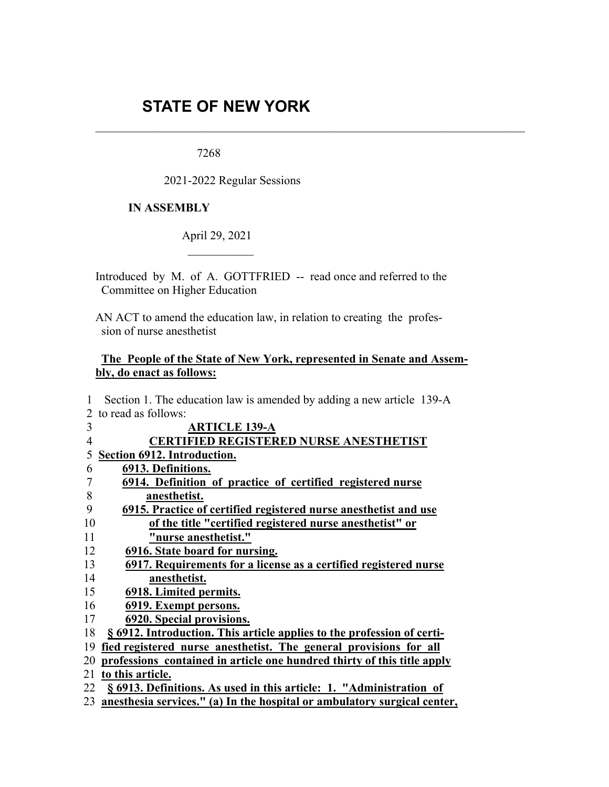# **STATE OF NEW YORK**

2021-2022 Regular Sessions

#### **IN ASSEMBLY**

 $\mathcal{L}_\text{max}$  and  $\mathcal{L}_\text{max}$  and  $\mathcal{L}_\text{max}$  and  $\mathcal{L}_\text{max}$ 

April 29, 2021

 Introduced by M. of A. GOTTFRIED -- read once and referred to the Committee on Higher Education

 $\mathcal{L} = \frac{1}{2} \sum_{i=1}^{n} \frac{1}{2} \sum_{j=1}^{n} \frac{1}{2} \sum_{j=1}^{n} \frac{1}{2} \sum_{j=1}^{n} \frac{1}{2} \sum_{j=1}^{n} \frac{1}{2} \sum_{j=1}^{n} \frac{1}{2} \sum_{j=1}^{n} \frac{1}{2} \sum_{j=1}^{n} \frac{1}{2} \sum_{j=1}^{n} \frac{1}{2} \sum_{j=1}^{n} \frac{1}{2} \sum_{j=1}^{n} \frac{1}{2} \sum_{j=1}^{n} \frac{1}{2} \sum$ 

 AN ACT to amend the education law, in relation to creating the profes sion of nurse anesthetist

### **The People of the State of New York, represented in Senate and Assem bly, do enact as follows:**

| Section 1. The education law is amended by adding a new article 139-A          |
|--------------------------------------------------------------------------------|
| to read as follows:                                                            |
| 3<br><b>ARTICLE 139-A</b>                                                      |
| <b>CERTIFIED REGISTERED NURSE ANESTHETIST</b><br>$\overline{4}$                |
| 5<br>Section 6912. Introduction.                                               |
| 6913. Definitions.<br>6                                                        |
| 7<br>6914. Definition of practice of certified registered nurse                |
| 8<br>anesthetist.                                                              |
| 9<br>6915. Practice of certified registered nurse anesthetist and use          |
| 10<br>of the title "certified registered nurse anesthetist" or                 |
| "nurse anesthetist."<br>11                                                     |
| 12<br>6916. State board for nursing.                                           |
| 13<br>6917. Requirements for a license as a certified registered nurse         |
| 14<br>anesthetist.                                                             |
| 15<br>6918. Limited permits.                                                   |
| 16<br>6919. Exempt persons.                                                    |
| 17<br>6920. Special provisions.                                                |
| 18<br>§ 6912. Introduction. This article applies to the profession of certi-   |
| <u>fied registered nurse anesthetist. The general provisions for all</u><br>19 |
| professions contained in article one hundred thirty of this title apply<br>20  |
| to this article.<br>21                                                         |
| § 6913. Definitions. As used in this article: 1. "Administration of<br>22      |
| 23 anosthesia services." (a) In the hospital or ambulatory surgical center,    |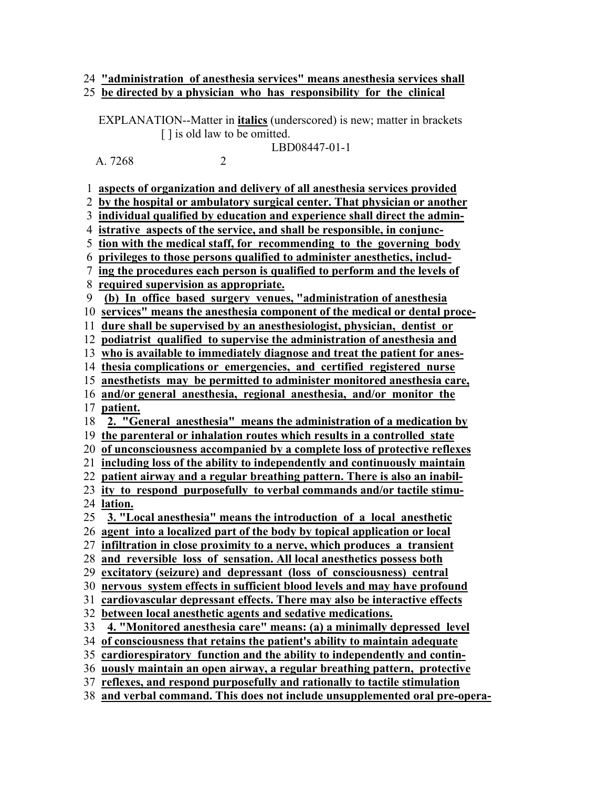#### **"administration of anesthesia services" means anesthesia services shall be directed by a physician who has responsibility for the clinical**

 EXPLANATION--Matter in **italics** (underscored) is new; matter in brackets [] is old law to be omitted.

LBD08447-01-1

A. 7268 2

**aspects of organization and delivery of all anesthesia services provided**

**by the hospital or ambulatory surgical center. That physician or another**

**individual qualified by education and experience shall direct the admin-**

**istrative aspects of the service, and shall be responsible, in conjunc-**

**tion with the medical staff, for recommending to the governing body**

**privileges to those persons qualified to administer anesthetics, includ-**

**ing the procedures each person is qualified to perform and the levels of**

**required supervision as appropriate.**

**(b) In office based surgery venues, "administration of anesthesia**

**services" means the anesthesia component of the medical or dental proce-**

**dure shall be supervised by an anesthesiologist, physician, dentist or**

**podiatrist qualified to supervise the administration of anesthesia and**

**who is available to immediately diagnose and treat the patient for anes-**

**thesia complications or emergencies, and certified registered nurse**

**anesthetists may be permitted to administer monitored anesthesia care,**

**and/or general anesthesia, regional anesthesia, and/or monitor the**

**patient.**

**2. "General anesthesia" means the administration of a medication by**

**the parenteral or inhalation routes which results in a controlled state**

**of unconsciousness accompanied by a complete loss of protective reflexes**

**including loss of the ability to independently and continuously maintain**

**patient airway and a regular breathing pattern. There is also an inabil-**

**ity to respond purposefully to verbal commands and/or tactile stimu- lation.**

**3. "Local anesthesia" means the introduction of a local anesthetic**

**agent into a localized part of the body by topical application or local**

**infiltration in close proximity to a nerve, which produces a transient**

**and reversible loss of sensation. All local anesthetics possess both**

**excitatory (seizure) and depressant (loss of consciousness) central**

**nervous system effects in sufficient blood levels and may have profound**

**cardiovascular depressant effects. There may also be interactive effects**

**between local anesthetic agents and sedative medications.**

**4. "Monitored anesthesia care" means: (a) a minimally depressed level**

**of consciousness that retains the patient's ability to maintain adequate**

**cardiorespiratory function and the ability to independently and contin-**

**uously maintain an open airway, a regular breathing pattern, protective**

**reflexes, and respond purposefully and rationally to tactile stimulation**

**and verbal command. This does not include unsupplemented oral pre-opera-**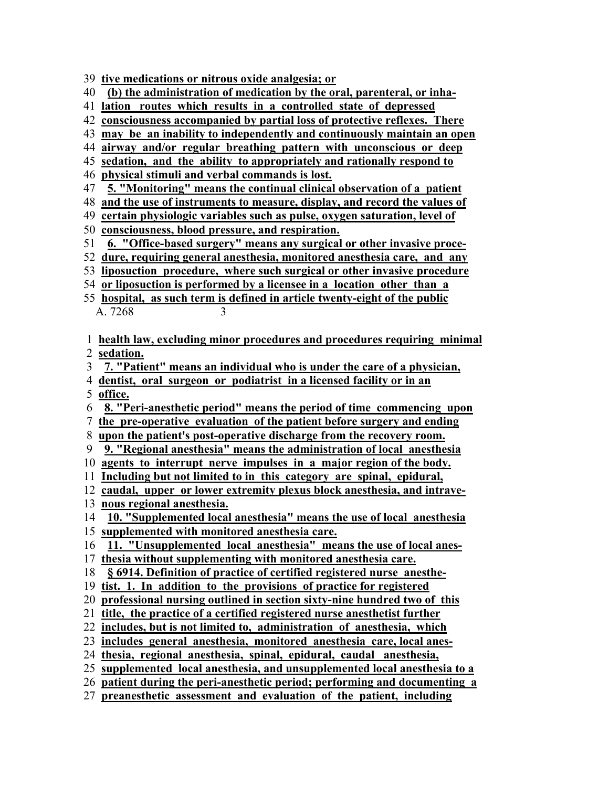**tive medications or nitrous oxide analgesia; or**

- **(b) the administration of medication by the oral, parenteral, or inha-**
- **lation routes which results in a controlled state of depressed**
- **consciousness accompanied by partial loss of protective reflexes. There**
- **may be an inability to independently and continuously maintain an open**
- **airway and/or regular breathing pattern with unconscious or deep**
- **sedation, and the ability to appropriately and rationally respond to**
- **physical stimuli and verbal commands is lost.**
- **5. "Monitoring" means the continual clinical observation of a patient**
- **and the use of instruments to measure, display, and record the values of**
- **certain physiologic variables such as pulse, oxygen saturation, level of**
- **consciousness, blood pressure, and respiration.**
- **6. "Office-based surgery" means any surgical or other invasive proce-**
- **dure, requiring general anesthesia, monitored anesthesia care, and any**
- **liposuction procedure, where such surgical or other invasive procedure**
- **or liposuction is performed by a licensee in a location other than a**
- **hospital, as such term is defined in article twenty-eight of the public** A. 7268 3
- **health law, excluding minor procedures and procedures requiring minimal**
- **sedation.**
- **7. "Patient" means an individual who is under the care of a physician,**
- **dentist, oral surgeon or podiatrist in a licensed facility or in an**
- **office.**
- **8. "Peri-anesthetic period" means the period of time commencing upon**
- **the pre-operative evaluation of the patient before surgery and ending**
- **upon the patient's post-operative discharge from the recovery room.**
- **9. "Regional anesthesia" means the administration of local anesthesia**
- **agents to interrupt nerve impulses in a major region of the body.**
- **Including but not limited to in this category are spinal, epidural,**
- **caudal, upper or lower extremity plexus block anesthesia, and intrave-**
- **nous regional anesthesia.**
- **10. "Supplemented local anesthesia" means the use of local anesthesia**
- **supplemented with monitored anesthesia care.**
- **11. "Unsupplemented local anesthesia" means the use of local anes-**
- **thesia without supplementing with monitored anesthesia care.**
- **§ 6914. Definition of practice of certified registered nurse anesthe-**
- **tist. 1. In addition to the provisions of practice for registered**
- **professional nursing outlined in section sixty-nine hundred two of this**
- **title, the practice of a certified registered nurse anesthetist further**
- **includes, but is not limited to, administration of anesthesia, which**
- **includes general anesthesia, monitored anesthesia care, local anes-**
- **thesia, regional anesthesia, spinal, epidural, caudal anesthesia,**
- **supplemented local anesthesia, and unsupplemented local anesthesia to a**
- **patient during the peri-anesthetic period; performing and documenting a**
- **preanesthetic assessment and evaluation of the patient, including**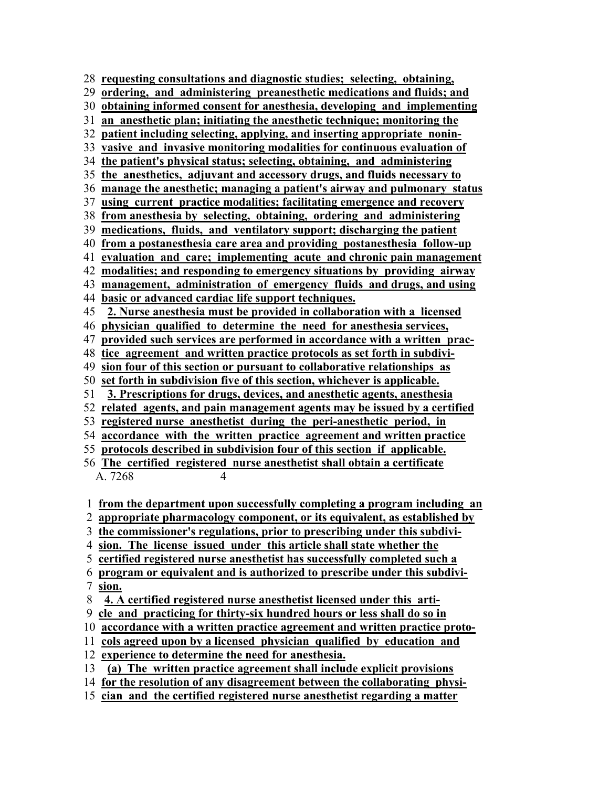**requesting consultations and diagnostic studies; selecting, obtaining, ordering, and administering preanesthetic medications and fluids; and obtaining informed consent for anesthesia, developing and implementing an anesthetic plan; initiating the anesthetic technique; monitoring the patient including selecting, applying, and inserting appropriate nonin- vasive and invasive monitoring modalities for continuous evaluation of the patient's physical status; selecting, obtaining, and administering the anesthetics, adjuvant and accessory drugs, and fluids necessary to manage the anesthetic; managing a patient's airway and pulmonary status using current practice modalities; facilitating emergence and recovery from anesthesia by selecting, obtaining, ordering and administering medications, fluids, and ventilatory support; discharging the patient from a postanesthesia care area and providing postanesthesia follow-up evaluation and care; implementing acute and chronic pain management modalities; and responding to emergency situations by providing airway management, administration of emergency fluids and drugs, and using basic or advanced cardiac life support techniques. 2. Nurse anesthesia must be provided in collaboration with a licensed physician qualified to determine the need for anesthesia services, provided such services are performed in accordance with a written prac- tice agreement and written practice protocols as set forth in subdivi- sion four of this section or pursuant to collaborative relationships as set forth in subdivision five of this section, whichever is applicable. 3. Prescriptions for drugs, devices, and anesthetic agents, anesthesia related agents, and pain management agents may be issued by a certified registered nurse anesthetist during the peri-anesthetic period, in accordance with the written practice agreement and written practice protocols described in subdivision four of this section if applicable.**

**The certified registered nurse anesthetist shall obtain a certificate** A. 7268 4

**from the department upon successfully completing a program including an**

**appropriate pharmacology component, or its equivalent, as established by**

**the commissioner's regulations, prior to prescribing under this subdivi-**

**sion. The license issued under this article shall state whether the**

**certified registered nurse anesthetist has successfully completed such a**

**program or equivalent and is authorized to prescribe under this subdivi- sion.**

- **4. A certified registered nurse anesthetist licensed under this arti-**
- **cle and practicing for thirty-six hundred hours or less shall do so in**

**accordance with a written practice agreement and written practice proto-**

- **cols agreed upon by a licensed physician qualified by education and**
- **experience to determine the need for anesthesia.**

**(a) The written practice agreement shall include explicit provisions**

- **for the resolution of any disagreement between the collaborating physi-**
- **cian and the certified registered nurse anesthetist regarding a matter**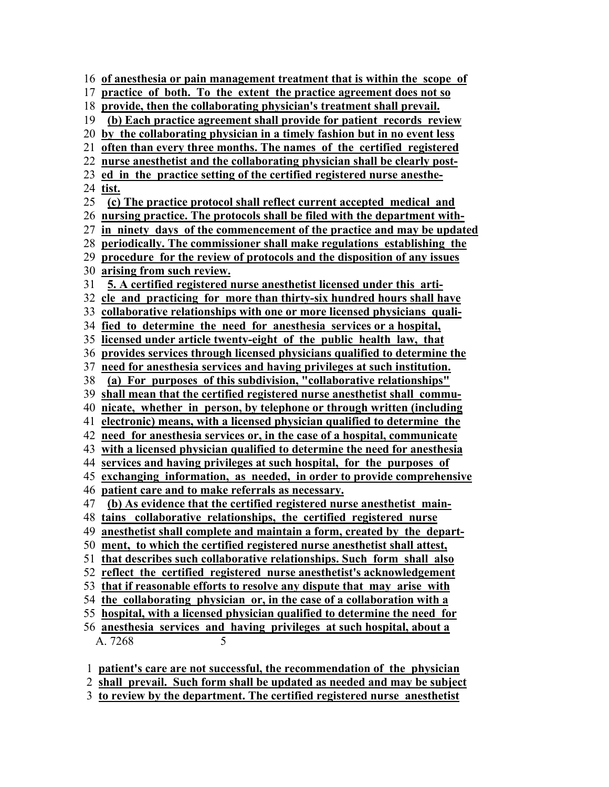**of anesthesia or pain management treatment that is within the scope of practice of both. To the extent the practice agreement does not so provide, then the collaborating physician's treatment shall prevail. (b) Each practice agreement shall provide for patient records review by the collaborating physician in a timely fashion but in no event less often than every three months. The names of the certified registered nurse anesthetist and the collaborating physician shall be clearly post- ed in the practice setting of the certified registered nurse anesthe- tist. (c) The practice protocol shall reflect current accepted medical and nursing practice. The protocols shall be filed with the department with- in ninety days of the commencement of the practice and may be updated periodically. The commissioner shall make regulations establishing the procedure for the review of protocols and the disposition of any issues arising from such review. 5. A certified registered nurse anesthetist licensed under this arti- cle and practicing for more than thirty-six hundred hours shall have collaborative relationships with one or more licensed physicians quali- fied to determine the need for anesthesia services or a hospital, licensed under article twenty-eight of the public health law, that provides services through licensed physicians qualified to determine the need for anesthesia services and having privileges at such institution. (a) For purposes of this subdivision, "collaborative relationships" shall mean that the certified registered nurse anesthetist shall commu- nicate, whether in person, by telephone or through written (including electronic) means, with a licensed physician qualified to determine the need for anesthesia services or, in the case of a hospital, communicate with a licensed physician qualified to determine the need for anesthesia services and having privileges at such hospital, for the purposes of exchanging information, as needed, in order to provide comprehensive patient care and to make referrals as necessary. (b) As evidence that the certified registered nurse anesthetist main- tains collaborative relationships, the certified registered nurse anesthetist shall complete and maintain a form, created by the depart- ment, to which the certified registered nurse anesthetist shall attest, that describes such collaborative relationships. Such form shall also reflect the certified registered nurse anesthetist's acknowledgement that if reasonable efforts to resolve any dispute that may arise with the collaborating physician or, in the case of a collaboration with a hospital, with a licensed physician qualified to determine the need for anesthesia services and having privileges at such hospital, about a** A. 7268 5

**patient's care are not successful, the recommendation of the physician**

**shall prevail. Such form shall be updated as needed and may be subject**

**to review by the department. The certified registered nurse anesthetist**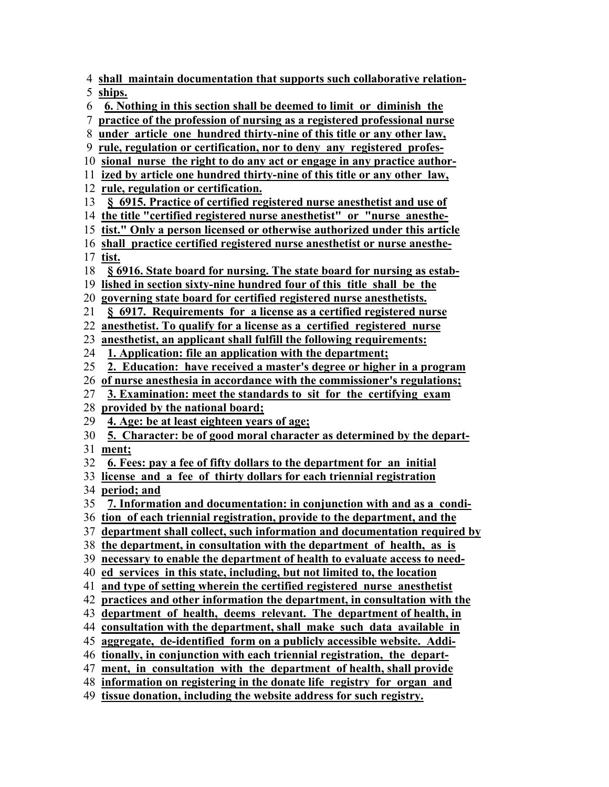**shall maintain documentation that supports such collaborative relation-**

**ships.**

**6. Nothing in this section shall be deemed to limit or diminish the**

**practice of the profession of nursing as a registered professional nurse**

**under article one hundred thirty-nine of this title or any other law,**

**rule, regulation or certification, nor to deny any registered profes-**

**sional nurse the right to do any act or engage in any practice author-**

**ized by article one hundred thirty-nine of this title or any other law,**

**rule, regulation or certification.**

**§ 6915. Practice of certified registered nurse anesthetist and use of**

**the title "certified registered nurse anesthetist" or "nurse anesthe-**

**tist." Only a person licensed or otherwise authorized under this article**

**shall practice certified registered nurse anesthetist or nurse anesthe-**

**tist.**

**§ 6916. State board for nursing. The state board for nursing as estab-**

**lished in section sixty-nine hundred four of this title shall be the**

**governing state board for certified registered nurse anesthetists.**

**§ 6917. Requirements for a license as a certified registered nurse**

**anesthetist. To qualify for a license as a certified registered nurse**

**anesthetist, an applicant shall fulfill the following requirements:**

**1. Application: file an application with the department;**

**2. Education: have received a master's degree or higher in a program**

**of nurse anesthesia in accordance with the commissioner's regulations;**

- **3. Examination: meet the standards to sit for the certifying exam**
- **provided by the national board;**
- **4. Age: be at least eighteen years of age;**
- **5. Character: be of good moral character as determined by the depart-**

**ment;**

**6. Fees: pay a fee of fifty dollars to the department for an initial**

**license and a fee of thirty dollars for each triennial registration**

**period; and**

**7. Information and documentation: in conjunction with and as a condi-**

**tion of each triennial registration, provide to the department, and the**

**department shall collect, such information and documentation required by**

**the department, in consultation with the department of health, as is**

**necessary to enable the department of health to evaluate access to need-**

**ed services in this state, including, but not limited to, the location**

**and type of setting wherein the certified registered nurse anesthetist**

**practices and other information the department, in consultation with the**

**department of health, deems relevant. The department of health, in**

**consultation with the department, shall make such data available in**

**aggregate, de-identified form on a publicly accessible website. Addi-**

**tionally, in conjunction with each triennial registration, the depart-**

**ment, in consultation with the department of health, shall provide**

**information on registering in the donate life registry for organ and**

**tissue donation, including the website address for such registry.**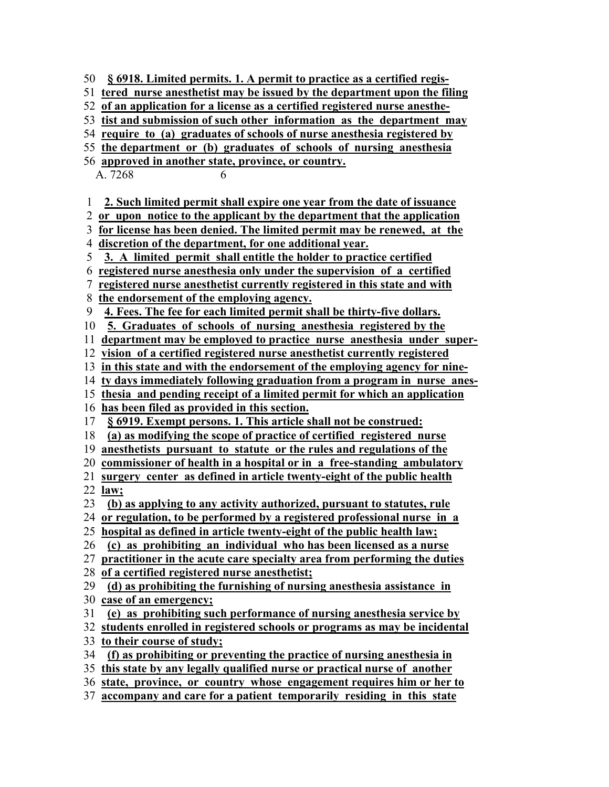**§ 6918. Limited permits. 1. A permit to practice as a certified regis-**

**tered nurse anesthetist may be issued by the department upon the filing**

**of an application for a license as a certified registered nurse anesthe-**

**tist and submission of such other information as the department may**

**require to (a) graduates of schools of nurse anesthesia registered by**

**the department or (b) graduates of schools of nursing anesthesia**

**approved in another state, province, or country.**

A. 7268 6

**2. Such limited permit shall expire one year from the date of issuance**

**or upon notice to the applicant by the department that the application**

**for license has been denied. The limited permit may be renewed, at the**

**discretion of the department, for one additional year.**

**3. A limited permit shall entitle the holder to practice certified**

**registered nurse anesthesia only under the supervision of a certified**

**registered nurse anesthetist currently registered in this state and with**

**the endorsement of the employing agency.**

**4. Fees. The fee for each limited permit shall be thirty-five dollars.**

**5. Graduates of schools of nursing anesthesia registered by the**

**department may be employed to practice nurse anesthesia under super-**

**vision of a certified registered nurse anesthetist currently registered**

**in this state and with the endorsement of the employing agency for nine-**

**ty days immediately following graduation from a program in nurse anes-**

**thesia and pending receipt of a limited permit for which an application**

**has been filed as provided in this section.**

**§ 6919. Exempt persons. 1. This article shall not be construed:**

**(a) as modifying the scope of practice of certified registered nurse**

**anesthetists pursuant to statute or the rules and regulations of the**

**commissioner of health in a hospital or in a free-standing ambulatory**

**surgery center as defined in article twenty-eight of the public health**

**law;**

**(b) as applying to any activity authorized, pursuant to statutes, rule**

**or regulation, to be performed by a registered professional nurse in a**

**hospital as defined in article twenty-eight of the public health law;**

**(c) as prohibiting an individual who has been licensed as a nurse**

**practitioner in the acute care specialty area from performing the duties**

**of a certified registered nurse anesthetist;**

**(d) as prohibiting the furnishing of nursing anesthesia assistance in**

**case of an emergency;**

**(e) as prohibiting such performance of nursing anesthesia service by**

**students enrolled in registered schools or programs as may be incidental**

**to their course of study;**

**(f) as prohibiting or preventing the practice of nursing anesthesia in**

**this state by any legally qualified nurse or practical nurse of another**

**state, province, or country whose engagement requires him or her to**

**accompany and care for a patient temporarily residing in this state**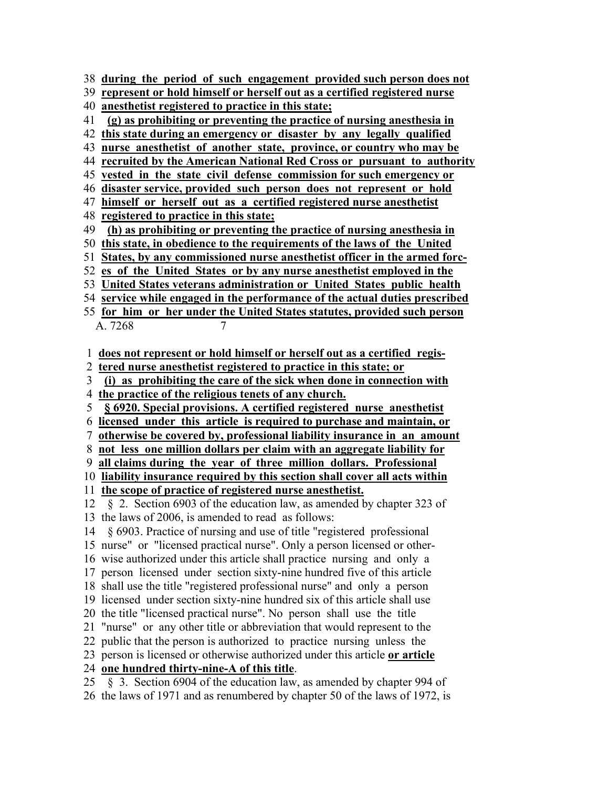**during the period of such engagement provided such person does not**

**represent or hold himself or herself out as a certified registered nurse anesthetist registered to practice in this state;**

**(g) as prohibiting or preventing the practice of nursing anesthesia in**

**this state during an emergency or disaster by any legally qualified**

**nurse anesthetist of another state, province, or country who may be**

**recruited by the American National Red Cross or pursuant to authority**

**vested in the state civil defense commission for such emergency or**

**disaster service, provided such person does not represent or hold**

**himself or herself out as a certified registered nurse anesthetist**

**registered to practice in this state;**

**(h) as prohibiting or preventing the practice of nursing anesthesia in**

- **this state, in obedience to the requirements of the laws of the United**
- **States, by any commissioned nurse anesthetist officer in the armed forc-**
- **es of the United States or by any nurse anesthetist employed in the**

**United States veterans administration or United States public health**

**service while engaged in the performance of the actual duties prescribed**

**for him or her under the United States statutes, provided such person** A. 7268

**does not represent or hold himself or herself out as a certified regis-**

**tered nurse anesthetist registered to practice in this state; or**

**(i) as prohibiting the care of the sick when done in connection with**

**the practice of the religious tenets of any church.**

**§ 6920. Special provisions. A certified registered nurse anesthetist**

**licensed under this article is required to purchase and maintain, or**

**otherwise be covered by, professional liability insurance in an amount**

**not less one million dollars per claim with an aggregate liability for**

**all claims during the year of three million dollars. Professional**

**liability insurance required by this section shall cover all acts within**

**the scope of practice of registered nurse anesthetist.**

 12 § 2. Section 6903 of the education law, as amended by chapter 323 of 13 the laws of 2006, is amended to read as follows:

14 § 6903. Practice of nursing and use of title "registered professional

15 nurse" or "licensed practical nurse". Only a person licensed or other-

16 wise authorized under this article shall practice nursing and only a

17 person licensed under section sixty-nine hundred five of this article

18 shall use the title "registered professional nurse" and only a person

19 licensed under section sixty-nine hundred six of this article shall use

20 the title "licensed practical nurse". No person shall use the title

21 "nurse" or any other title or abbreviation that would represent to the

22 public that the person is authorized to practice nursing unless the

23 person is licensed or otherwise authorized under this article **or article**

## **one hundred thirty-nine-A of this title**.

25 § 3. Section 6904 of the education law, as amended by chapter 994 of

26 the laws of 1971 and as renumbered by chapter 50 of the laws of 1972, is